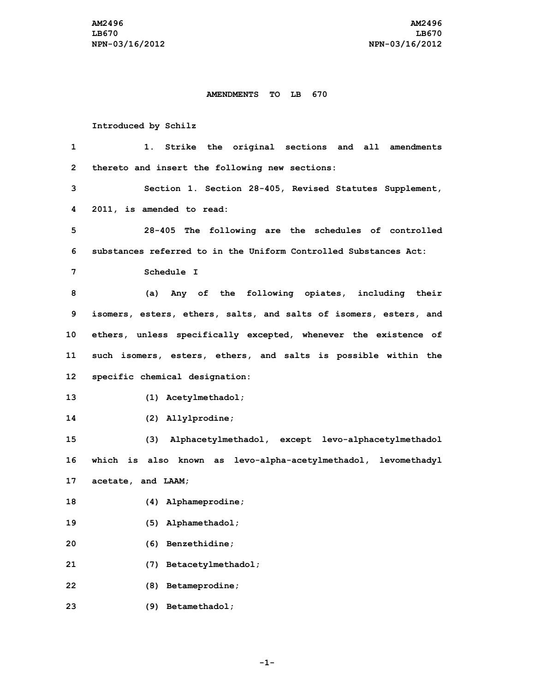#### **AMENDMENTS TO LB 670**

### **Introduced by Schilz**

| 1            | Strike the original sections and all amendments<br>1.             |
|--------------|-------------------------------------------------------------------|
| $\mathbf{2}$ | thereto and insert the following new sections:                    |
| 3            | Section 1. Section 28-405, Revised Statutes Supplement,           |
| 4            | 2011, is amended to read:                                         |
| 5            | 28-405 The following are the schedules of controlled              |
| 6            | substances referred to in the Uniform Controlled Substances Act:  |
| 7            | Schedule I                                                        |
| 8            | (a) Any of the following opiates, including their                 |
| 9            | isomers, esters, ethers, salts, and salts of isomers, esters, and |
| 10           | ethers, unless specifically excepted, whenever the existence of   |
| 11           | such isomers, esters, ethers, and salts is possible within the    |
| $12 \,$      | specific chemical designation:                                    |
| 13           | (1) Acetylmethadol;                                               |
| 14           | (2) Allylprodine;                                                 |
| 15           | (3) Alphacetylmethadol, except levo-alphacetylmethadol            |
| 16           | which is also known as levo-alpha-acetylmethadol, levomethadyl    |
| 17           | acetate, and LAAM;                                                |
| 18           | (4) Alphameprodine;                                               |
| 19           | (5) Alphamethadol;                                                |
| 20           | (6) Benzethidine;                                                 |
| 21           | Betacetylmethadol;<br>(7)                                         |
| 22           | Betameprodine;<br>(8)                                             |
| 23           | Betamethadol;<br>(9)                                              |

**-1-**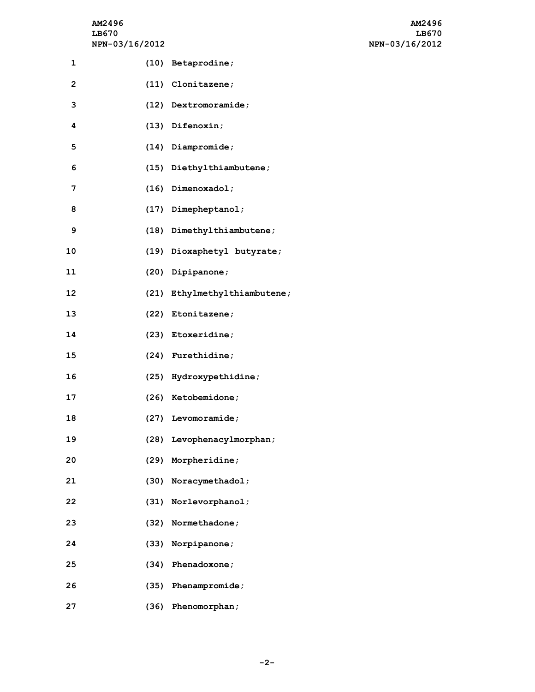# **NPN-03/16/2012 NPN-03/16/2012**

| AM2496                | AM2496         |
|-----------------------|----------------|
| LB670                 | LB670          |
| <b>NPN-03/16/2012</b> | NPN-03/16/2012 |

| 1                       | (10) Betaprodine;            |
|-------------------------|------------------------------|
| $\overline{\mathbf{c}}$ | (11) Clonitazene;            |
| 3                       | (12) Dextromoramide;         |
| 4                       | (13) Difenoxin;              |
| 5                       | $(14)$ Diampromide;          |
| 6                       | (15) Diethylthiambutene;     |
| 7                       | (16) Dimenoxadol;            |
| 8                       | (17) Dimepheptanol;          |
| 9                       | (18) Dimethylthiambutene;    |
| 10                      | (19) Dioxaphetyl butyrate;   |
| 11                      | (20) Dipipanone;             |
| 12                      | (21) Ethylmethylthiambutene; |
| 13                      | (22) Etonitazene;            |
| 14                      | (23) Etoxeridine;            |
| 15                      | (24) Furethidine;            |
| 16                      | (25) Hydroxypethidine;       |
| 17                      | (26) Ketobemidone;           |
| 18                      | (27) Levomoramide;           |
| 19                      | (28) Levophenacylmorphan;    |
| 20                      | (29) Morpheridine;           |
| 21                      | (30) Noracymethadol;         |
| 22                      | (31) Norlevorphanol;         |
| 23                      | (32) Normethadone;           |
| 24                      | (33) Norpipanone;            |
| 25                      | (34) Phenadoxone;            |
| 26                      | (35) Phenampromide;          |
| 27                      | (36) Phenomorphan;           |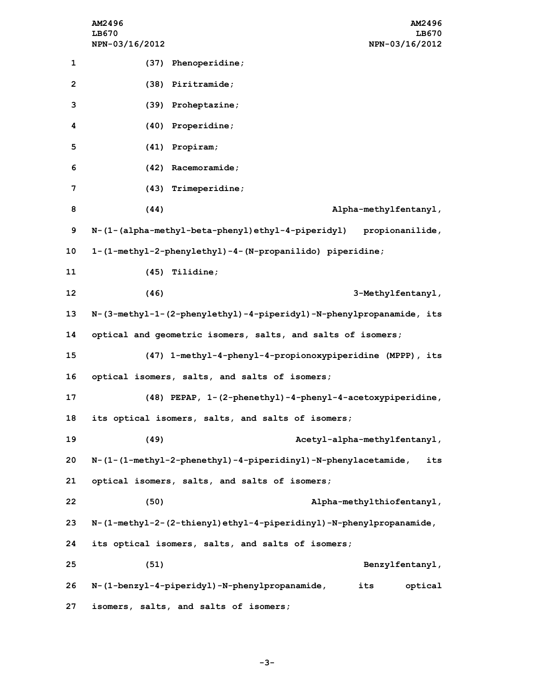|                   | AM2496<br><b>AM2496</b><br>LB670<br>LB670<br>NPN-03/16/2012<br>NPN-03/16/2012                                       |
|-------------------|---------------------------------------------------------------------------------------------------------------------|
| 1                 | (37) Phenoperidine;                                                                                                 |
| $\overline{2}$    | (38) Piritramide;                                                                                                   |
| 3                 | (39) Proheptazine;                                                                                                  |
| 4                 | (40) Properidine;                                                                                                   |
| 5                 | $(41)$ Propiram;                                                                                                    |
| 6                 | $(42)$ Racemoramide;                                                                                                |
| 7                 | (43) Trimeperidine;                                                                                                 |
| 8                 | (44)<br>Alpha-methylfentanyl,                                                                                       |
| 9                 | N-(1-(alpha-methyl-beta-phenyl)ethyl-4-piperidyl) propionanilide,                                                   |
| 10                | 1-(1-methyl-2-phenylethyl)-4-(N-propanilido) piperidine;                                                            |
| 11                | $(45)$ Tilidine;                                                                                                    |
| $12 \overline{ }$ | (46)<br>3-Methylfentanyl,                                                                                           |
| 13                | N-(3-methyl-1-(2-phenylethyl)-4-piperidyl)-N-phenylpropanamide, its                                                 |
| 14                | optical and geometric isomers, salts, and salts of isomers;                                                         |
| 15                | (47) 1-methyl-4-phenyl-4-propionoxypiperidine (MPPP), its                                                           |
| 16                | optical isomers, salts, and salts of isomers;                                                                       |
| 17                | (48) PEPAP, 1-(2-phenethyl)-4-phenyl-4-acetoxypiperidine,                                                           |
| 18                | its optical isomers, salts, and salts of isomers;                                                                   |
| 19                | (49)<br>Acetyl-alpha-methylfentanyl,                                                                                |
| 20                | $N - (1 - (1 - \text{methyl}-2 - \text{phenethyl}) - 4 - \text{piperiding1}) - N - \text{phenylacetamide}$ ,<br>its |
| 21                | optical isomers, salts, and salts of isomers;                                                                       |
| 22                | (50)<br>Alpha-methylthiofentanyl,                                                                                   |
| 23                | N-(1-methyl-2-(2-thienyl)ethyl-4-piperidinyl)-N-phenylpropanamide,                                                  |
| 24                | its optical isomers, salts, and salts of isomers;                                                                   |
| 25                | (51)<br>Benzylfentanyl,                                                                                             |
| 26                | N-(1-benzyl-4-piperidyl)-N-phenylpropanamide,<br>its<br>optical                                                     |
| 27                | isomers, salts, and salts of isomers;                                                                               |

**-3-**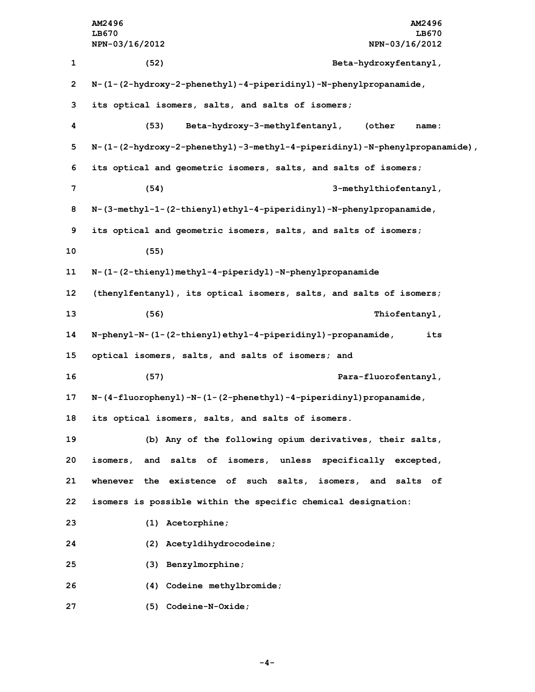|                | AM2496<br>AM2496                                                           |
|----------------|----------------------------------------------------------------------------|
|                | LB670<br>LB670                                                             |
|                | NPN-03/16/2012<br>NPN-03/16/2012                                           |
| 1              | (52)<br>Beta-hydroxyfentanyl,                                              |
| $\overline{2}$ | N-(1-(2-hydroxy-2-phenethyl)-4-piperidinyl)-N-phenylpropanamide,           |
| 3              | its optical isomers, salts, and salts of isomers;                          |
| 4              | (53)<br>Beta-hydroxy-3-methylfentanyl,<br>(other<br>name:                  |
| 5              | N-(1-(2-hydroxy-2-phenethyl)-3-methyl-4-piperidinyl)-N-phenylpropanamide), |
| 6              | its optical and geometric isomers, salts, and salts of isomers;            |
| 7              | (54)<br>3-methylthiofentanyl,                                              |
| 8              | N-(3-methyl-1-(2-thienyl)ethyl-4-piperidinyl)-N-phenylpropanamide,         |
| 9              | its optical and geometric isomers, salts, and salts of isomers;            |
| 10             | (55)                                                                       |
| 11             | N-(1-(2-thienyl)methyl-4-piperidyl)-N-phenylpropanamide                    |
| 12             | (thenylfentanyl), its optical isomers, salts, and salts of isomers;        |
| 13             | (56)<br>Thiofentanyl,                                                      |
| 14             | N-phenyl-N-(1-(2-thienyl)ethyl-4-piperidinyl)-propanamide,<br>its          |
| 15             | optical isomers, salts, and salts of isomers; and                          |
| 16             | (57)<br>Para-fluorofentanyl,                                               |
| 17             | N-(4-fluorophenyl)-N-(1-(2-phenethyl)-4-piperidinyl)propanamide,           |
| 18             | its optical isomers, salts, and salts of isomers.                          |
| 19             | (b) Any of the following opium derivatives, their salts,                   |
| 20             | isomers, and salts of isomers, unless specifically excepted,               |
| 21             | whenever the existence of such salts, isomers, and salts of                |
| 22             | isomers is possible within the specific chemical designation:              |
| 23             | $(1)$ Acetorphine;                                                         |
| 24             | (2) Acetyldihydrocodeine;                                                  |
| 25             | (3) Benzylmorphine;                                                        |
| 26             | (4) Codeine methylbromide;                                                 |
| 27             | (5) Codeine-N-Oxide;                                                       |

**-4-**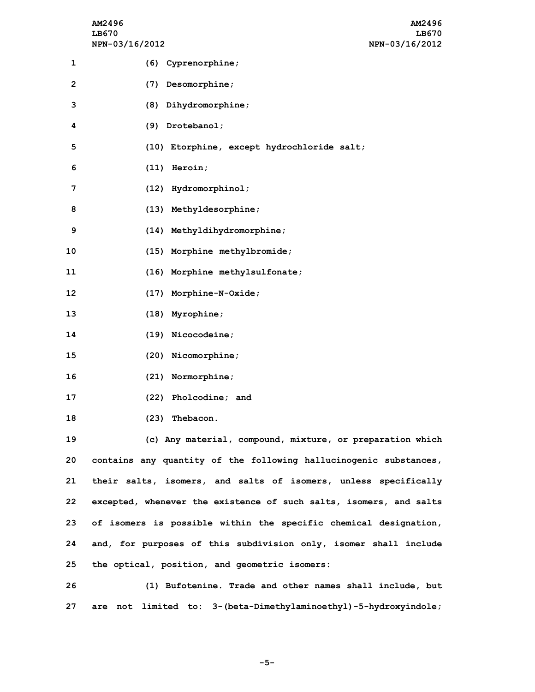| AM2496         | AM2496         |
|----------------|----------------|
| LB670          | LB670          |
| NPN-03/16/2012 | NPN-03/16/2012 |

| 1              | (6) Cyprenorphine;                                                                                              |
|----------------|-----------------------------------------------------------------------------------------------------------------|
| $\overline{2}$ | (7) Desomorphine;                                                                                               |
| 3              | (8) Dihydromorphine;                                                                                            |
| 4              | (9) Drotebanol;                                                                                                 |
| 5              | (10) Etorphine, except hydrochloride salt;                                                                      |
| 6              | $(11)$ Heroin;                                                                                                  |
| 7              | (12) Hydromorphinol;                                                                                            |
| 8              | (13) Methyldesorphine;                                                                                          |
| 9              | (14) Methyldihydromorphine;                                                                                     |
| 10             | (15) Morphine methylbromide;                                                                                    |
| 11             | (16) Morphine methylsulfonate;                                                                                  |
| 12             | (17) Morphine-N-Oxide;                                                                                          |
| 13             | $(18)$ Myrophine;                                                                                               |
| 14             | (19) Nicocodeine;                                                                                               |
| 15             | (20) Nicomorphine;                                                                                              |
| 16             | (21) Normorphine;                                                                                               |
| 17             | (22) Pholcodine; and                                                                                            |
| 18             | (23) Thebacon.                                                                                                  |
| 19             | (c) Any material, compound, mixture, or preparation which                                                       |
| 20             | contains any quantity of the following hallucinogenic substances,                                               |
| 21             | their salts, isomers, and salts of isomers, unless specifically                                                 |
|                | the contract of the contract of the contract of the contract of the contract of the contract of the contract of |

 **excepted, whenever the existence of such salts, isomers, and salts of isomers is possible within the specific chemical designation, and, for purposes of this subdivision only, isomer shall include the optical, position, and geometric isomers:**

**26 (1) Bufotenine. Trade and other names shall include, but 27 are not limited to: 3-(beta-Dimethylaminoethyl)-5-hydroxyindole;**

**-5-**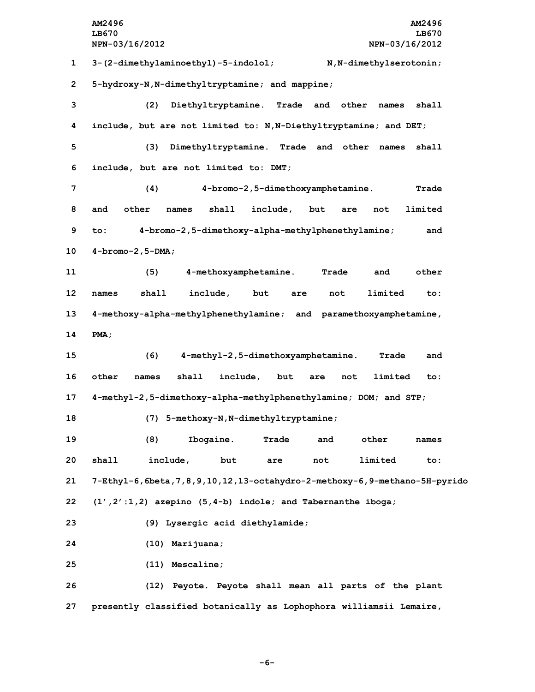**AM2496 AM2496 LB670 LB670 NPN-03/16/2012 NPN-03/16/2012 3-(2-dimethylaminoethyl)-5-indolol; N,N-dimethylserotonin; 5-hydroxy-N,N-dimethyltryptamine; and mappine; (2) Diethyltryptamine. Trade and other names shall include, but are not limited to: N,N-Diethyltryptamine; and DET; (3) Dimethyltryptamine. Trade and other names shall include, but are not limited to: DMT; (4) 4-bromo-2,5-dimethoxyamphetamine. Trade and other names shall include, but are not limited to: 4-bromo-2,5-dimethoxy-alpha-methylphenethylamine; and 4-bromo-2,5-DMA; (5) 4-methoxyamphetamine. Trade and other names shall include, but are not limited to: 4-methoxy-alpha-methylphenethylamine; and paramethoxyamphetamine, 14 PMA; (6) 4-methyl-2,5-dimethoxyamphetamine. Trade and other names shall include, but are not limited to: 4-methyl-2,5-dimethoxy-alpha-methylphenethylamine; DOM; and STP; (7) 5-methoxy-N,N-dimethyltryptamine; (8) Ibogaine. Trade and other names shall include, but are not limited to: 7-Ethyl-6,6beta,7,8,9,10,12,13-octahydro-2-methoxy-6,9-methano-5H-pyrido (1',2':1,2) azepino (5,4-b) indole; and Tabernanthe iboga; (9) Lysergic acid diethylamide; (10) Marijuana; (11) Mescaline; (12) Peyote. Peyote shall mean all parts of the plant presently classified botanically as Lophophora williamsii Lemaire,**

**-6-**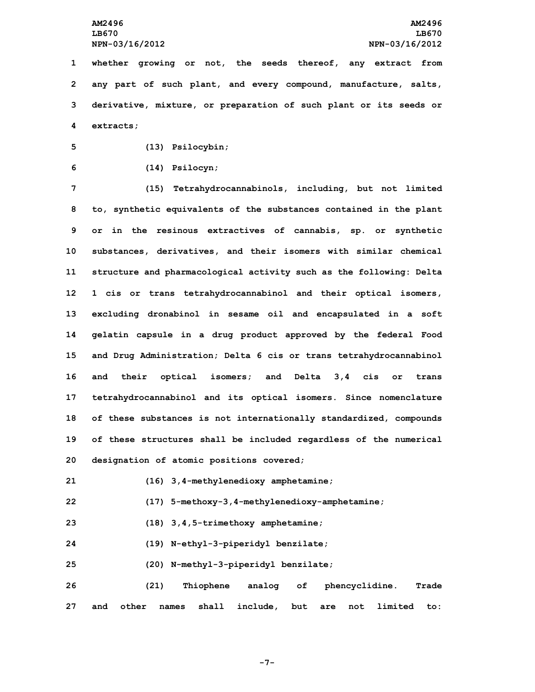**whether growing or not, the seeds thereof, any extract from any part of such plant, and every compound, manufacture, salts, derivative, mixture, or preparation of such plant or its seeds or extracts;**

**5 (13) Psilocybin;**

**6 (14) Psilocyn;**

 **(15) Tetrahydrocannabinols, including, but not limited to, synthetic equivalents of the substances contained in the plant or in the resinous extractives of cannabis, sp. or synthetic substances, derivatives, and their isomers with similar chemical structure and pharmacological activity such as the following: Delta 1 cis or trans tetrahydrocannabinol and their optical isomers, excluding dronabinol in sesame oil and encapsulated in <sup>a</sup> soft gelatin capsule in <sup>a</sup> drug product approved by the federal Food and Drug Administration; Delta 6 cis or trans tetrahydrocannabinol and their optical isomers; and Delta 3,4 cis or trans tetrahydrocannabinol and its optical isomers. Since nomenclature of these substances is not internationally standardized, compounds of these structures shall be included regardless of the numerical designation of atomic positions covered;**

- **21 (16) 3,4-methylenedioxy amphetamine;**
- **22 (17) 5-methoxy-3,4-methylenedioxy-amphetamine;**
- **23 (18) 3,4,5-trimethoxy amphetamine;**
- **24 (19) N-ethyl-3-piperidyl benzilate;**
- **25 (20) N-methyl-3-piperidyl benzilate;**

**26 (21) Thiophene analog of phencyclidine. Trade 27 and other names shall include, but are not limited to:**

**-7-**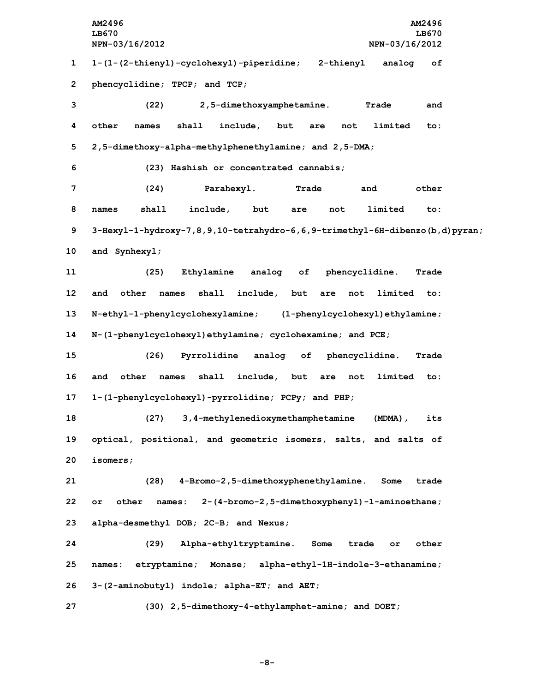**AM2496 AM2496 LB670 LB670 NPN-03/16/2012 NPN-03/16/2012 1-(1-(2-thienyl)-cyclohexyl)-piperidine; 2-thienyl analog of phencyclidine; TPCP; and TCP; (22) 2,5-dimethoxyamphetamine. Trade and other names shall include, but are not limited to: 2,5-dimethoxy-alpha-methylphenethylamine; and 2,5-DMA; (23) Hashish or concentrated cannabis; (24) Parahexyl. Trade and other names shall include, but are not limited to: 3-Hexyl-1-hydroxy-7,8,9,10-tetrahydro-6,6,9-trimethyl-6H-dibenzo(b,d)pyran; and Synhexyl; (25) Ethylamine analog of phencyclidine. Trade and other names shall include, but are not limited to: N-ethyl-1-phenylcyclohexylamine; (1-phenylcyclohexyl)ethylamine; N-(1-phenylcyclohexyl)ethylamine; cyclohexamine; and PCE; (26) Pyrrolidine analog of phencyclidine. Trade and other names shall include, but are not limited to: 1-(1-phenylcyclohexyl)-pyrrolidine; PCPy; and PHP; (27) 3,4-methylenedioxymethamphetamine (MDMA), its optical, positional, and geometric isomers, salts, and salts of 20 isomers; (28) 4-Bromo-2,5-dimethoxyphenethylamine. Some trade or other names: 2-(4-bromo-2,5-dimethoxyphenyl)-1-aminoethane; alpha-desmethyl DOB; 2C-B; and Nexus; (29) Alpha-ethyltryptamine. Some trade or other names: etryptamine; Monase; alpha-ethyl-1H-indole-3-ethanamine; 3-(2-aminobutyl) indole; alpha-ET; and AET; (30) 2,5-dimethoxy-4-ethylamphet-amine; and DOET;**

**-8-**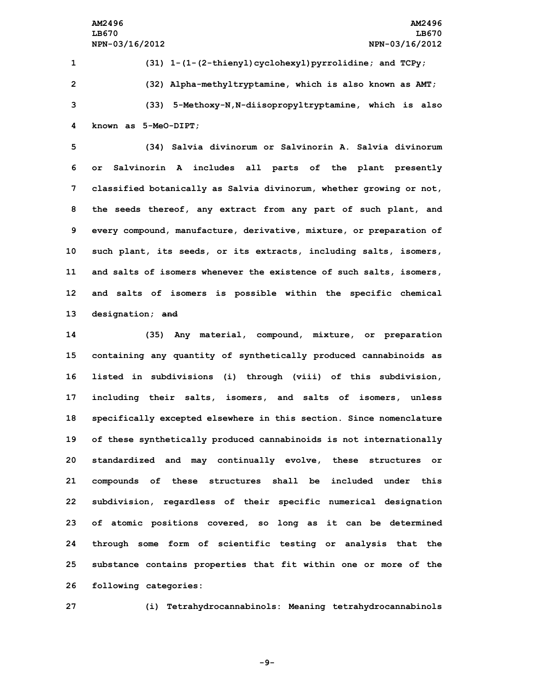**(31) 1-(1-(2-thienyl)cyclohexyl)pyrrolidine; and TCPy; (32) Alpha-methyltryptamine, which is also known as AMT; (33) 5-Methoxy-N,N-diisopropyltryptamine, which is also known as 5-MeO-DIPT;**

 **(34) Salvia divinorum or Salvinorin A. Salvia divinorum or Salvinorin <sup>A</sup> includes all parts of the plant presently classified botanically as Salvia divinorum, whether growing or not, the seeds thereof, any extract from any part of such plant, and every compound, manufacture, derivative, mixture, or preparation of such plant, its seeds, or its extracts, including salts, isomers, and salts of isomers whenever the existence of such salts, isomers, and salts of isomers is possible within the specific chemical designation; and**

 **(35) Any material, compound, mixture, or preparation containing any quantity of synthetically produced cannabinoids as listed in subdivisions (i) through (viii) of this subdivision, including their salts, isomers, and salts of isomers, unless specifically excepted elsewhere in this section. Since nomenclature of these synthetically produced cannabinoids is not internationally standardized and may continually evolve, these structures or compounds of these structures shall be included under this subdivision, regardless of their specific numerical designation of atomic positions covered, so long as it can be determined through some form of scientific testing or analysis that the substance contains properties that fit within one or more of the following categories:**

**27 (i) Tetrahydrocannabinols: Meaning tetrahydrocannabinols**

**-9-**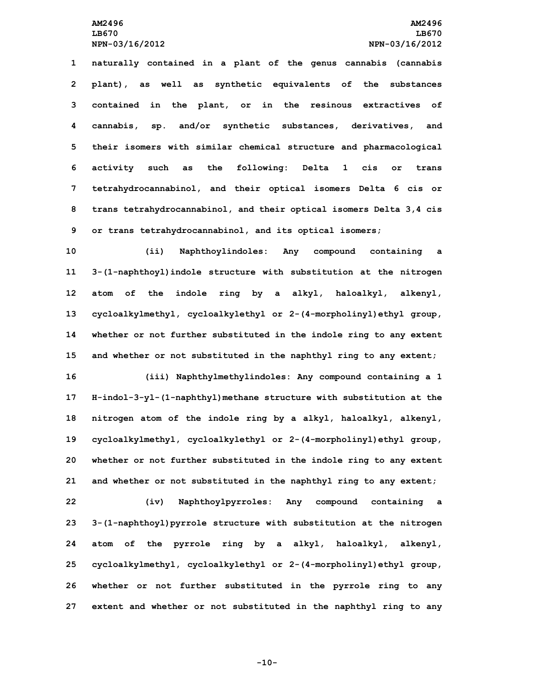**naturally contained in <sup>a</sup> plant of the genus cannabis (cannabis plant), as well as synthetic equivalents of the substances contained in the plant, or in the resinous extractives of cannabis, sp. and/or synthetic substances, derivatives, and their isomers with similar chemical structure and pharmacological activity such as the following: Delta 1 cis or trans tetrahydrocannabinol, and their optical isomers Delta 6 cis or trans tetrahydrocannabinol, and their optical isomers Delta 3,4 cis or trans tetrahydrocannabinol, and its optical isomers;**

 **(ii) Naphthoylindoles: Any compound containing <sup>a</sup> 3-(1-naphthoyl)indole structure with substitution at the nitrogen atom of the indole ring by <sup>a</sup> alkyl, haloalkyl, alkenyl, cycloalkylmethyl, cycloalkylethyl or 2-(4-morpholinyl)ethyl group, whether or not further substituted in the indole ring to any extent and whether or not substituted in the naphthyl ring to any extent;**

 **(iii) Naphthylmethylindoles: Any compound containing <sup>a</sup> 1 H-indol-3-yl-(1-naphthyl)methane structure with substitution at the nitrogen atom of the indole ring by <sup>a</sup> alkyl, haloalkyl, alkenyl, cycloalkylmethyl, cycloalkylethyl or 2-(4-morpholinyl)ethyl group, whether or not further substituted in the indole ring to any extent and whether or not substituted in the naphthyl ring to any extent;**

 **(iv) Naphthoylpyrroles: Any compound containing <sup>a</sup> 3-(1-naphthoyl)pyrrole structure with substitution at the nitrogen atom of the pyrrole ring by <sup>a</sup> alkyl, haloalkyl, alkenyl, cycloalkylmethyl, cycloalkylethyl or 2-(4-morpholinyl)ethyl group, whether or not further substituted in the pyrrole ring to any extent and whether or not substituted in the naphthyl ring to any**

**-10-**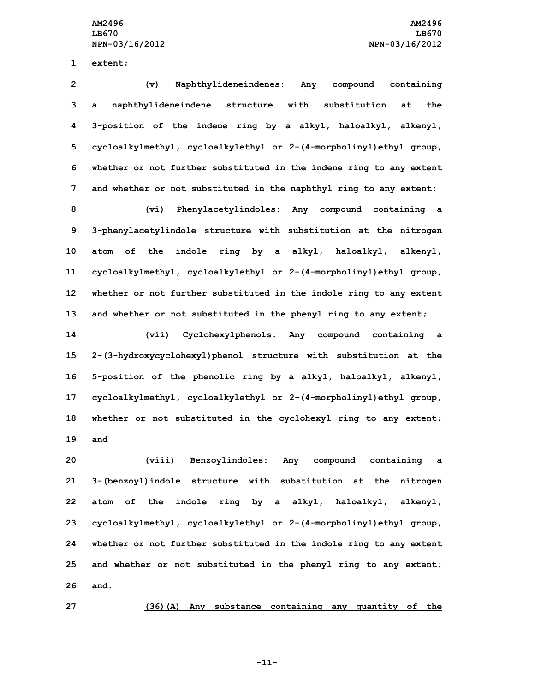**1 extent;**

 **(v) Naphthylideneindenes: Any compound containing <sup>a</sup> naphthylideneindene structure with substitution at the 3-position of the indene ring by <sup>a</sup> alkyl, haloalkyl, alkenyl, cycloalkylmethyl, cycloalkylethyl or 2-(4-morpholinyl)ethyl group, whether or not further substituted in the indene ring to any extent and whether or not substituted in the naphthyl ring to any extent;**

 **(vi) Phenylacetylindoles: Any compound containing <sup>a</sup> 3-phenylacetylindole structure with substitution at the nitrogen atom of the indole ring by <sup>a</sup> alkyl, haloalkyl, alkenyl, cycloalkylmethyl, cycloalkylethyl or 2-(4-morpholinyl)ethyl group, whether or not further substituted in the indole ring to any extent and whether or not substituted in the phenyl ring to any extent;**

 **(vii) Cyclohexylphenols: Any compound containing <sup>a</sup> 2-(3-hydroxycyclohexyl)phenol structure with substitution at the 5-position of the phenolic ring by <sup>a</sup> alkyl, haloalkyl, alkenyl, cycloalkylmethyl, cycloalkylethyl or 2-(4-morpholinyl)ethyl group, whether or not substituted in the cyclohexyl ring to any extent; 19 and**

 **(viii) Benzoylindoles: Any compound containing <sup>a</sup> 3-(benzoyl)indole structure with substitution at the nitrogen atom of the indole ring by <sup>a</sup> alkyl, haloalkyl, alkenyl, cycloalkylmethyl, cycloalkylethyl or 2-(4-morpholinyl)ethyl group, whether or not further substituted in the indole ring to any extent and whether or not substituted in the phenyl ring to any extent; 26 and.**

**27 (36)(A) Any substance containing any quantity of the**

**-11-**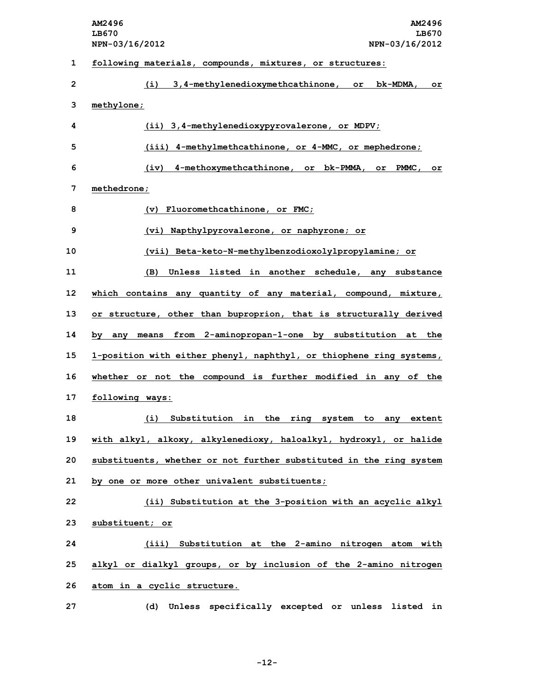|                | AM2496<br><b>AM2496</b><br>LB670<br>LB670<br>NPN-03/16/2012<br>NPN-03/16/2012 |  |
|----------------|-------------------------------------------------------------------------------|--|
| 1              | following materials, compounds, mixtures, or structures:                      |  |
| $\overline{2}$ | 3,4-methylenedioxymethcathinone, or<br>(i)<br>bk-MDMA.<br>or                  |  |
| 3              | methylone;                                                                    |  |
| 4              | (ii) 3,4-methylenedioxypyrovalerone, or MDPV;                                 |  |
| 5              | (iii) 4-methylmethcathinone, or 4-MMC, or mephedrone;                         |  |
| 6              | 4-methoxymethcathinone, or bk-PMMA,<br>(iv)<br>or<br>PMMC,<br>or              |  |
| 7              | methedrone;                                                                   |  |
| 8              | (v) Fluoromethcathinone, or FMC;                                              |  |
| 9              | (vi) Napthylpyrovalerone, or naphyrone; or                                    |  |
| 10             | (vii) Beta-keto-N-methylbenzodioxolylpropylamine; or                          |  |
| 11             | Unless listed in another schedule, any substance<br>(B)                       |  |
| 12             | which contains any quantity of any material, compound, mixture,               |  |
| 13             | or structure, other than buproprion, that is structurally derived             |  |
| 14             | means from 2-aminopropan-1-one by substitution at<br>the<br>by<br>any         |  |
| 15             | 1-position with either phenyl, naphthyl, or thiophene ring systems,           |  |
| 16             | whether or not the compound is further modified in any of<br>the              |  |
| 17             | following ways:                                                               |  |
| 18             | (i) Substitution in the ring system to any extent                             |  |
| 19             | with alkyl, alkoxy, alkylenedioxy, haloalkyl, hydroxyl, or halide             |  |
| 20             | substituents, whether or not further substituted in the ring system           |  |
| 21             | by one or more other univalent substituents;                                  |  |
| 22             | (ii) Substitution at the 3-position with an acyclic alkyl                     |  |
| 23             | substituent; or                                                               |  |
| 24             | (iii) Substitution at the 2-amino nitrogen atom with                          |  |
| 25             | alkyl or dialkyl groups, or by inclusion of the 2-amino nitrogen              |  |
| 26             | atom in a cyclic structure.                                                   |  |
| 27             | Unless specifically excepted or unless listed in<br>(d)                       |  |

**-12-**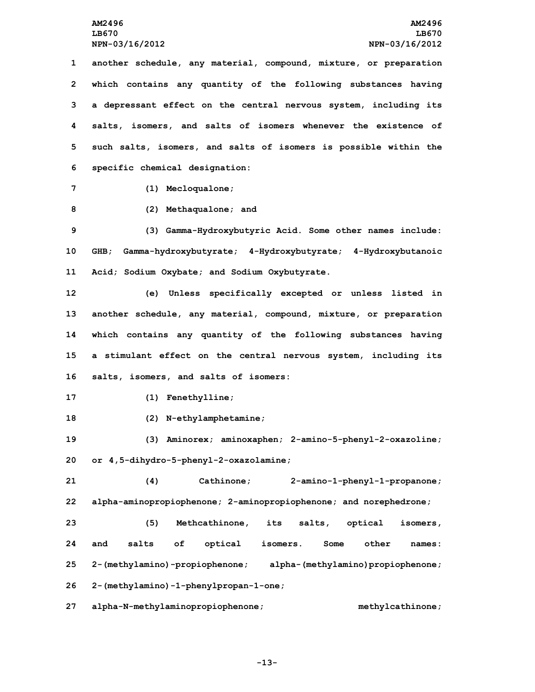**another schedule, any material, compound, mixture, or preparation which contains any quantity of the following substances having <sup>a</sup> depressant effect on the central nervous system, including its salts, isomers, and salts of isomers whenever the existence of such salts, isomers, and salts of isomers is possible within the specific chemical designation:**

**7 (1) Mecloqualone;**

**8 (2) Methaqualone; and**

**9 (3) Gamma-Hydroxybutyric Acid. Some other names include: 10 GHB; Gamma-hydroxybutyrate; 4-Hydroxybutyrate; 4-Hydroxybutanoic 11 Acid; Sodium Oxybate; and Sodium Oxybutyrate.**

 **(e) Unless specifically excepted or unless listed in another schedule, any material, compound, mixture, or preparation which contains any quantity of the following substances having <sup>a</sup> stimulant effect on the central nervous system, including its salts, isomers, and salts of isomers:**

**17 (1) Fenethylline;**

**18 (2) N-ethylamphetamine;**

**19 (3) Aminorex; aminoxaphen; 2-amino-5-phenyl-2-oxazoline; 20 or 4,5-dihydro-5-phenyl-2-oxazolamine;**

**21 (4) Cathinone; 2-amino-1-phenyl-1-propanone; 22 alpha-aminopropiophenone; 2-aminopropiophenone; and norephedrone;**

 **(5) Methcathinone, its salts, optical isomers, and salts of optical isomers. Some other names: 2-(methylamino)-propiophenone; alpha-(methylamino)propiophenone; 2-(methylamino)-1-phenylpropan-1-one;**

**27 alpha-N-methylaminopropiophenone; methylcathinone;**

**-13-**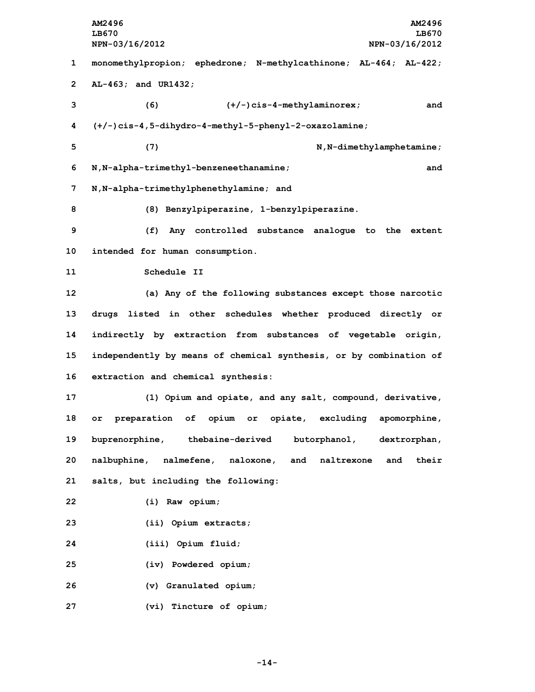**AM2496 AM2496 LB670 LB670 NPN-03/16/2012 NPN-03/16/2012 monomethylpropion; ephedrone; N-methylcathinone; AL-464; AL-422; AL-463; and UR1432; (6) (+/-)cis-4-methylaminorex; and (+/-)cis-4,5-dihydro-4-methyl-5-phenyl-2-oxazolamine; (7) N,N-dimethylamphetamine; N,N-alpha-trimethyl-benzeneethanamine; and N,N-alpha-trimethylphenethylamine; and (8) Benzylpiperazine, 1-benzylpiperazine. (f) Any controlled substance analogue to the extent intended for human consumption. Schedule II (a) Any of the following substances except those narcotic drugs listed in other schedules whether produced directly or indirectly by extraction from substances of vegetable origin, independently by means of chemical synthesis, or by combination of extraction and chemical synthesis: (1) Opium and opiate, and any salt, compound, derivative, or preparation of opium or opiate, excluding apomorphine, buprenorphine, thebaine-derived butorphanol, dextrorphan, nalbuphine, nalmefene, naloxone, and naltrexone and their salts, but including the following: (i) Raw opium; (ii) Opium extracts; (iii) Opium fluid; (iv) Powdered opium; (v) Granulated opium; (vi) Tincture of opium;**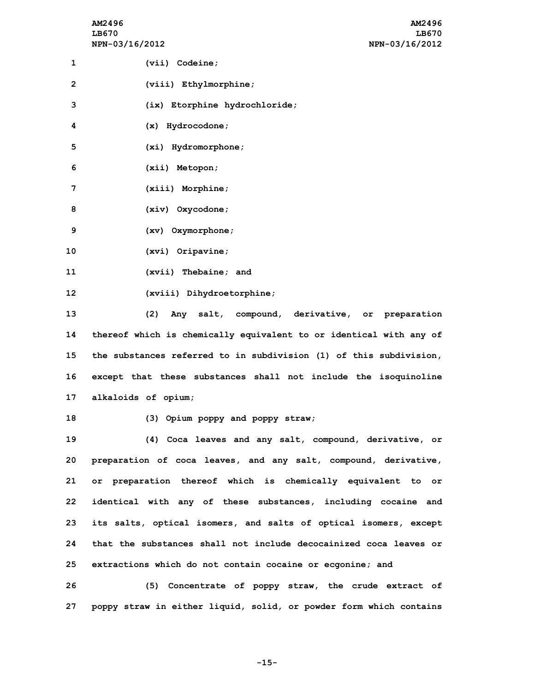**AM2496 AM2496 LB670 LB670 NPN-03/16/2012 NPN-03/16/2012**

| 1 | $(vii)$ Codeine;              |
|---|-------------------------------|
| 2 | $(viii)$ Ethylmorphine;       |
| 3 | (ix) Etorphine hydrochloride; |
| 4 | $(x)$ Hydrocodone;            |
| 5 | $(xi)$ Hydromorphone;         |
| 6 | $(xii)$ Metopon;              |

**8 (xiv) Oxycodone; 9 (xv) Oxymorphone;**

**7 (xiii) Morphine;**

**10 (xvi) Oripavine;**

**11 (xvii) Thebaine; and**

**12 (xviii) Dihydroetorphine;**

 **(2) Any salt, compound, derivative, or preparation thereof which is chemically equivalent to or identical with any of the substances referred to in subdivision (1) of this subdivision, except that these substances shall not include the isoquinoline alkaloids of opium;**

**18 (3) Opium poppy and poppy straw;**

 **(4) Coca leaves and any salt, compound, derivative, or preparation of coca leaves, and any salt, compound, derivative, or preparation thereof which is chemically equivalent to or identical with any of these substances, including cocaine and its salts, optical isomers, and salts of optical isomers, except that the substances shall not include decocainized coca leaves or extractions which do not contain cocaine or ecgonine; and**

**26 (5) Concentrate of poppy straw, the crude extract of 27 poppy straw in either liquid, solid, or powder form which contains**

**-15-**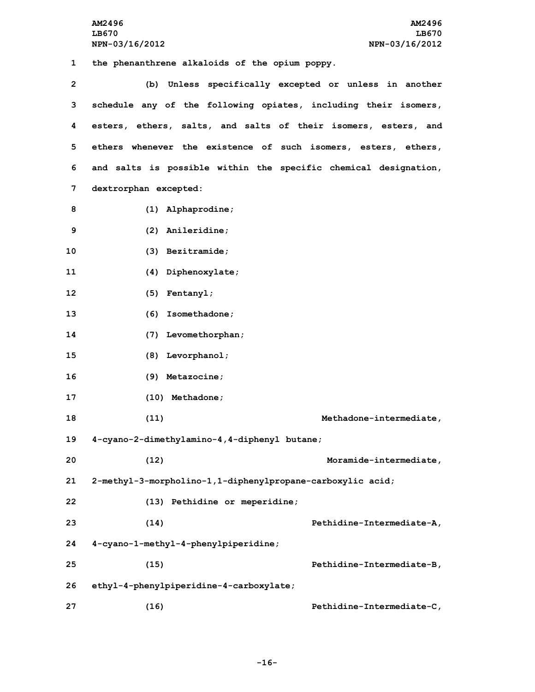**AM2496 AM2496 LB670 LB670 NPN-03/16/2012 NPN-03/16/2012 the phenanthrene alkaloids of the opium poppy. (b) Unless specifically excepted or unless in another schedule any of the following opiates, including their isomers, esters, ethers, salts, and salts of their isomers, esters, and ethers whenever the existence of such isomers, esters, ethers, and salts is possible within the specific chemical designation, dextrorphan excepted: (1) Alphaprodine; (2) Anileridine; (3) Bezitramide; (4) Diphenoxylate; (5) Fentanyl; (6) Isomethadone; (7) Levomethorphan; (8) Levorphanol; (9) Metazocine; (10) Methadone; (11) Methadone-intermediate, 4-cyano-2-dimethylamino-4,4-diphenyl butane; (12) Moramide-intermediate, 2-methyl-3-morpholino-1,1-diphenylpropane-carboxylic acid; (13) Pethidine or meperidine;**

**23 (14) Pethidine-Intermediate-A,**

**25 (15) Pethidine-Intermediate-B,**

**26 ethyl-4-phenylpiperidine-4-carboxylate;**

**24 4-cyano-1-methyl-4-phenylpiperidine;**

**27 (16) Pethidine-Intermediate-C,**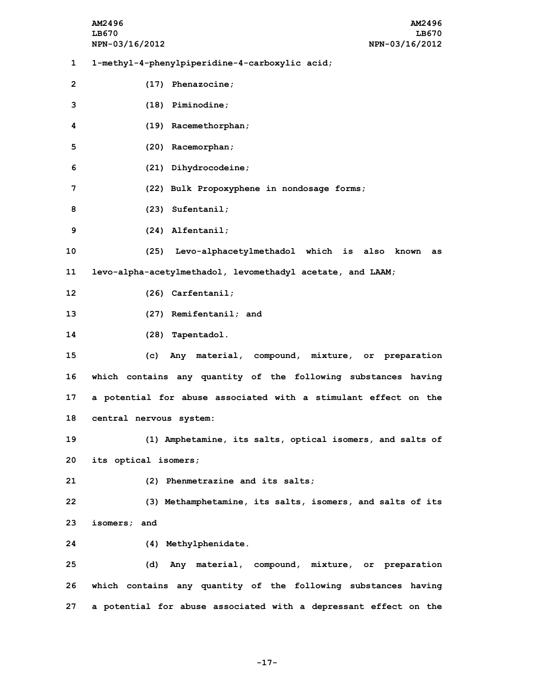**AM2496 AM2496 LB670 LB670 NPN-03/16/2012 NPN-03/16/2012 1-methyl-4-phenylpiperidine-4-carboxylic acid; (17) Phenazocine; (18) Piminodine; (19) Racemethorphan; (20) Racemorphan; (21) Dihydrocodeine; (22) Bulk Propoxyphene in nondosage forms; (23) Sufentanil; (24) Alfentanil; (25) Levo-alphacetylmethadol which is also known as levo-alpha-acetylmethadol, levomethadyl acetate, and LAAM; (26) Carfentanil; (27) Remifentanil; and (28) Tapentadol. (c) Any material, compound, mixture, or preparation which contains any quantity of the following substances having <sup>a</sup> potential for abuse associated with <sup>a</sup> stimulant effect on the central nervous system: (1) Amphetamine, its salts, optical isomers, and salts of its optical isomers; (2) Phenmetrazine and its salts; (3) Methamphetamine, its salts, isomers, and salts of its isomers; and (4) Methylphenidate. (d) Any material, compound, mixture, or preparation which contains any quantity of the following substances having <sup>a</sup> potential for abuse associated with <sup>a</sup> depressant effect on the**

**-17-**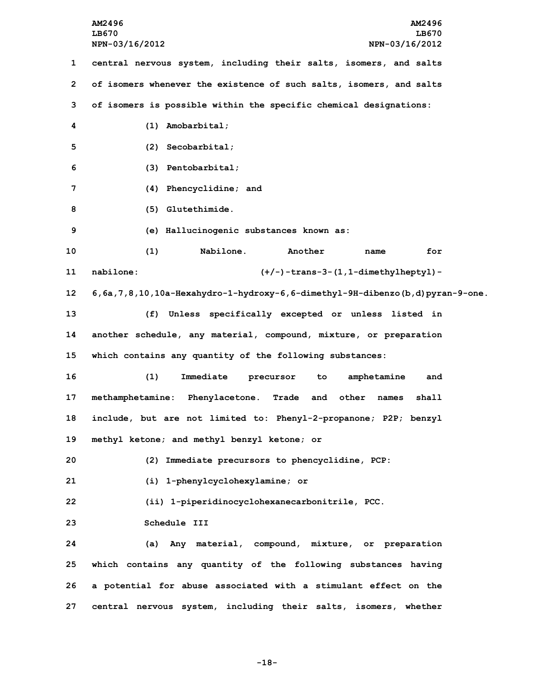**AM2496 AM2496 LB670 LB670 NPN-03/16/2012 NPN-03/16/2012 central nervous system, including their salts, isomers, and salts of isomers whenever the existence of such salts, isomers, and salts of isomers is possible within the specific chemical designations: (1) Amobarbital; (2) Secobarbital; (3) Pentobarbital; (4) Phencyclidine; and (5) Glutethimide. (e) Hallucinogenic substances known as: (1) Nabilone. Another name for nabilone: (+/-)-trans-3-(1,1-dimethylheptyl)- 6,6a,7,8,10,10a-Hexahydro-1-hydroxy-6,6-dimethyl-9H-dibenzo(b,d)pyran-9-one. (f) Unless specifically excepted or unless listed in another schedule, any material, compound, mixture, or preparation which contains any quantity of the following substances: (1) Immediate precursor to amphetamine and methamphetamine: Phenylacetone. Trade and other names shall include, but are not limited to: Phenyl-2-propanone; P2P; benzyl methyl ketone; and methyl benzyl ketone; or (2) Immediate precursors to phencyclidine, PCP: (i) 1-phenylcyclohexylamine; or (ii) 1-piperidinocyclohexanecarbonitrile, PCC. Schedule III (a) Any material, compound, mixture, or preparation which contains any quantity of the following substances having <sup>a</sup> potential for abuse associated with <sup>a</sup> stimulant effect on the central nervous system, including their salts, isomers, whether**

**-18-**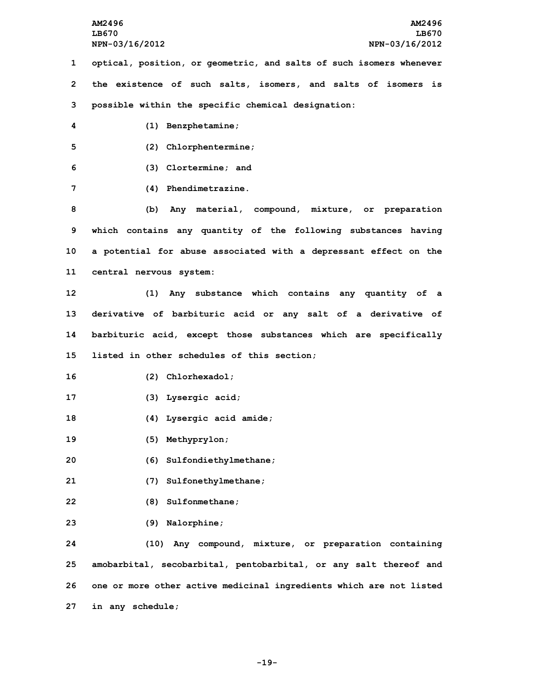**optical, position, or geometric, and salts of such isomers whenever the existence of such salts, isomers, and salts of isomers is possible within the specific chemical designation: (1) Benzphetamine; (2) Chlorphentermine; (3) Clortermine; and (4) Phendimetrazine. (b) Any material, compound, mixture, or preparation which contains any quantity of the following substances having <sup>a</sup> potential for abuse associated with <sup>a</sup> depressant effect on the central nervous system: (1) Any substance which contains any quantity of <sup>a</sup> derivative of barbituric acid or any salt of <sup>a</sup> derivative of barbituric acid, except those substances which are specifically listed in other schedules of this section; (2) Chlorhexadol; (3) Lysergic acid; (4) Lysergic acid amide; (5) Methyprylon; (6) Sulfondiethylmethane; (7) Sulfonethylmethane; (8) Sulfonmethane; (9) Nalorphine; (10) Any compound, mixture, or preparation containing amobarbital, secobarbital, pentobarbital, or any salt thereof and**

**26 one or more other active medicinal ingredients which are not listed 27 in any schedule;**

**-19-**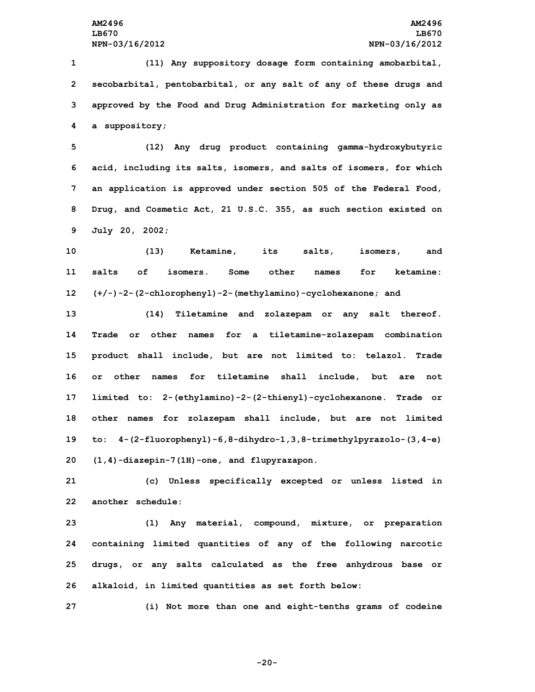**(11) Any suppository dosage form containing amobarbital, secobarbital, pentobarbital, or any salt of any of these drugs and approved by the Food and Drug Administration for marketing only as <sup>a</sup> suppository;**

 **(12) Any drug product containing gamma-hydroxybutyric acid, including its salts, isomers, and salts of isomers, for which an application is approved under section 505 of the Federal Food, Drug, and Cosmetic Act, 21 U.S.C. 355, as such section existed on July 20, 2002;**

**10 (13) Ketamine, its salts, isomers, and 11 salts of isomers. Some other names for ketamine: 12 (+/-)-2-(2-chlorophenyl)-2-(methylamino)-cyclohexanone; and**

 **(14) Tiletamine and zolazepam or any salt thereof. Trade or other names for <sup>a</sup> tiletamine-zolazepam combination product shall include, but are not limited to: telazol. Trade or other names for tiletamine shall include, but are not limited to: 2-(ethylamino)-2-(2-thienyl)-cyclohexanone. Trade or other names for zolazepam shall include, but are not limited to: 4-(2-fluorophenyl)-6,8-dihydro-1,3,8-trimethylpyrazolo-(3,4-e) (1,4)-diazepin-7(1H)-one, and flupyrazapon.**

**21 (c) Unless specifically excepted or unless listed in 22 another schedule:**

 **(1) Any material, compound, mixture, or preparation containing limited quantities of any of the following narcotic drugs, or any salts calculated as the free anhydrous base or alkaloid, in limited quantities as set forth below:**

**27 (i) Not more than one and eight-tenths grams of codeine**

**-20-**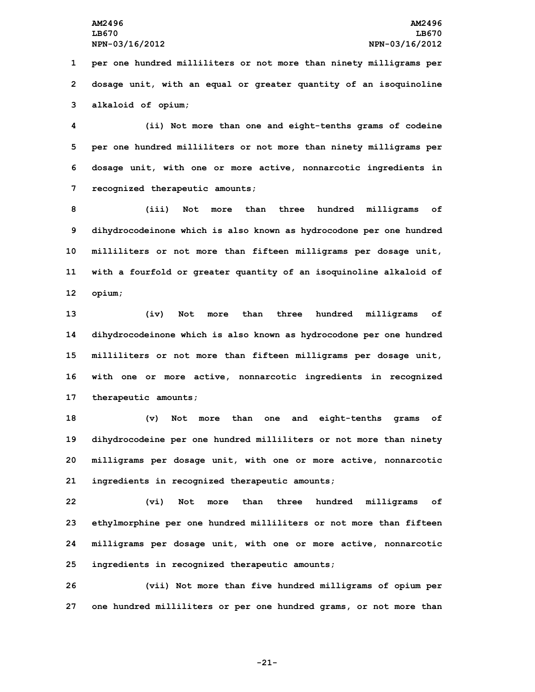**1 per one hundred milliliters or not more than ninety milligrams per 2 dosage unit, with an equal or greater quantity of an isoquinoline 3 alkaloid of opium;**

 **(ii) Not more than one and eight-tenths grams of codeine per one hundred milliliters or not more than ninety milligrams per dosage unit, with one or more active, nonnarcotic ingredients in recognized therapeutic amounts;**

 **(iii) Not more than three hundred milligrams of dihydrocodeinone which is also known as hydrocodone per one hundred milliliters or not more than fifteen milligrams per dosage unit, with <sup>a</sup> fourfold or greater quantity of an isoquinoline alkaloid of 12 opium;**

 **(iv) Not more than three hundred milligrams of dihydrocodeinone which is also known as hydrocodone per one hundred milliliters or not more than fifteen milligrams per dosage unit, with one or more active, nonnarcotic ingredients in recognized therapeutic amounts;**

 **(v) Not more than one and eight-tenths grams of dihydrocodeine per one hundred milliliters or not more than ninety milligrams per dosage unit, with one or more active, nonnarcotic ingredients in recognized therapeutic amounts;**

 **(vi) Not more than three hundred milligrams of ethylmorphine per one hundred milliliters or not more than fifteen milligrams per dosage unit, with one or more active, nonnarcotic ingredients in recognized therapeutic amounts;**

**26 (vii) Not more than five hundred milligrams of opium per 27 one hundred milliliters or per one hundred grams, or not more than**

**-21-**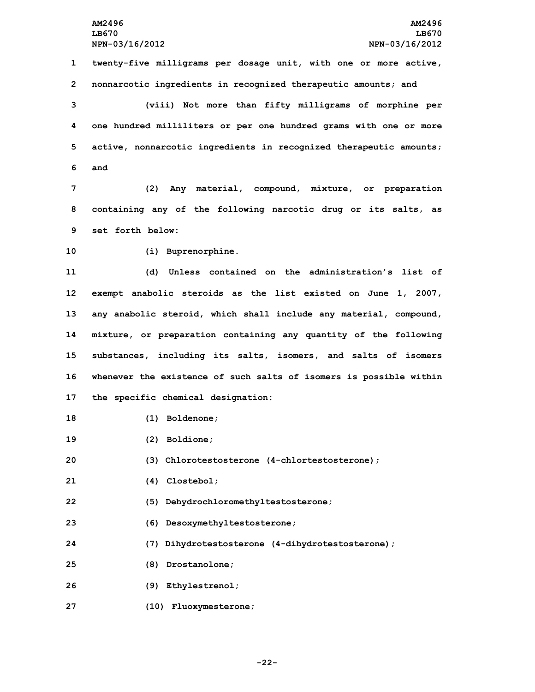**1 twenty-five milligrams per dosage unit, with one or more active, 2 nonnarcotic ingredients in recognized therapeutic amounts; and**

 **(viii) Not more than fifty milligrams of morphine per one hundred milliliters or per one hundred grams with one or more active, nonnarcotic ingredients in recognized therapeutic amounts; 6 and**

**7 (2) Any material, compound, mixture, or preparation 8 containing any of the following narcotic drug or its salts, as 9 set forth below:**

**10 (i) Buprenorphine.**

 **(d) Unless contained on the administration's list of exempt anabolic steroids as the list existed on June 1, 2007, any anabolic steroid, which shall include any material, compound, mixture, or preparation containing any quantity of the following substances, including its salts, isomers, and salts of isomers whenever the existence of such salts of isomers is possible within the specific chemical designation:**

- **18 (1) Boldenone;**
- **19 (2) Boldione;**
- **20 (3) Chlorotestosterone (4-chlortestosterone);**
- **21 (4) Clostebol;**
- **22 (5) Dehydrochloromethyltestosterone;**
- **23 (6) Desoxymethyltestosterone;**
- **24 (7) Dihydrotestosterone (4-dihydrotestosterone);**
- **25 (8) Drostanolone;**
- **26 (9) Ethylestrenol;**
- **27 (10) Fluoxymesterone;**

**-22-**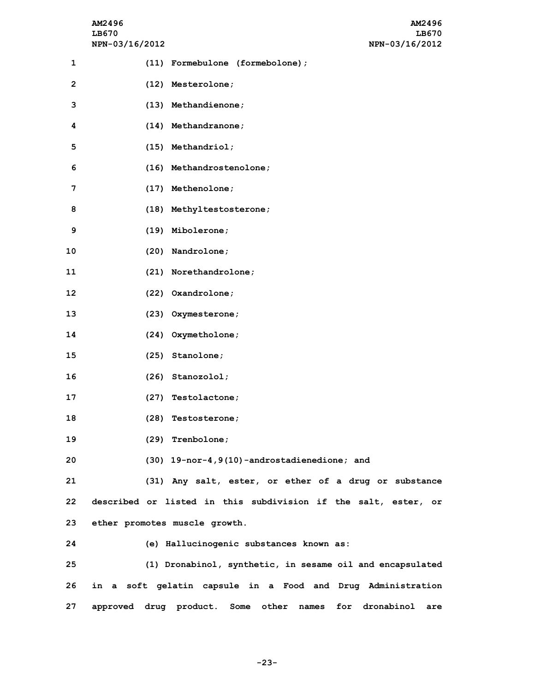|              | AM2496<br>LB670<br>NPN-03/16/2012 | AM2496<br>LB670<br>NPN-03/16/2012                                   |
|--------------|-----------------------------------|---------------------------------------------------------------------|
| 1            |                                   | (11) Formebulone (formebolone);                                     |
| $\mathbf{2}$ |                                   | (12) Mesterolone;                                                   |
| 3            |                                   | (13) Methandienone;                                                 |
| 4            |                                   | (14) Methandranone;                                                 |
| 5            |                                   | (15) Methandriol;                                                   |
| 6            |                                   | (16) Methandrostenolone;                                            |
| 7            |                                   | (17) Methenolone;                                                   |
| 8            |                                   | (18) Methyltestosterone;                                            |
| 9            |                                   | (19) Mibolerone;                                                    |
| 10           |                                   | (20) Nandrolone;                                                    |
| 11           |                                   | (21) Norethandrolone;                                               |
| 12           |                                   | (22) Oxandrolone;                                                   |
| 13           |                                   | (23) Oxymesterone;                                                  |
| 14           |                                   | (24) Oxymetholone;                                                  |
| 15           |                                   | (25) Stanolone;                                                     |
| 16           |                                   | $(26)$ Stanozolol;                                                  |
| 17           |                                   | (27) Testolactone;                                                  |
| 18           |                                   | (28) Testosterone;                                                  |
| 19           |                                   | (29) Trenbolone;                                                    |
| 20           |                                   | (30) 19-nor-4, 9(10) -androstadienedione; and                       |
| 21           |                                   | (31) Any salt, ester, or ether of a drug or substance               |
| 22           |                                   | described or listed in this subdivision if the salt, ester, or      |
| 23           |                                   | ether promotes muscle growth.                                       |
| 24           |                                   | (e) Hallucinogenic substances known as:                             |
| 25           |                                   | (1) Dronabinol, synthetic, in sesame oil and encapsulated           |
| 26           |                                   | in a soft gelatin capsule in a Food and Drug Administration         |
| 27           |                                   | approved drug product. Some other names<br>dronabinol<br>for<br>are |

**-23-**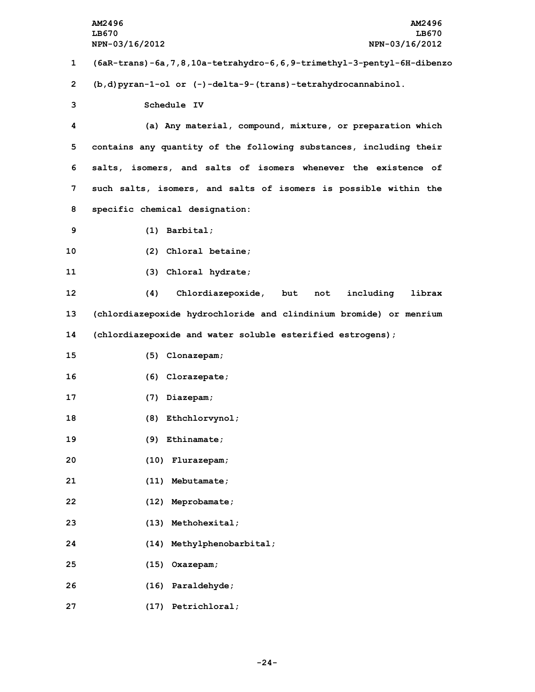|    | AM2496<br>AM2496<br>LB670<br>LB670<br>NPN-03/16/2012<br>NPN-03/16/2012     |
|----|----------------------------------------------------------------------------|
| 1  | (6aR-trans)-6a, 7, 8, 10a-tetrahydro-6, 6, 9-trimethyl-3-pentyl-6H-dibenzo |
| 2  | $(b, d)$ pyran-1-ol or (-)-delta-9-(trans)-tetrahydrocannabinol.           |
| 3  | Schedule IV                                                                |
| 4  | (a) Any material, compound, mixture, or preparation which                  |
| 5  | contains any quantity of the following substances, including their         |
| 6  | salts, isomers, and salts of isomers whenever the existence of             |
| 7  | such salts, isomers, and salts of isomers is possible within the           |
| 8  | specific chemical designation:                                             |
| 9  | $(1)$ Barbital;                                                            |
| 10 | (2) Chloral betaine;                                                       |
| 11 | (3) Chloral hydrate;                                                       |
| 12 | (4)<br>Chlordiazepoxide,<br>but not<br>including<br>librax                 |
| 13 | (chlordiazepoxide hydrochloride and clindinium bromide) or menrium         |
| 14 | (chlordiazepoxide and water soluble esterified estrogens);                 |
| 15 | (5) Clonazepam;                                                            |
| 16 | (6) Clorazepate;                                                           |
| 17 | (7) Diazepam;                                                              |
| 18 | (8) Ethchlorvynol;                                                         |
| 19 | $(9)$ Ethinamate;                                                          |
| 20 | Flurazepam;<br>(10)                                                        |
| 21 | (11)<br>Mebutamate;                                                        |
| 22 | (12)<br>Meprobamate;                                                       |
| 23 | Methohexital;<br>(13)                                                      |
| 24 | Methylphenobarbital;<br>(14)                                               |
| 25 | (15)<br>Oxazepam;                                                          |
| 26 | (16)<br>Paraldehyde;                                                       |
| 27 | (17) Petrichloral;                                                         |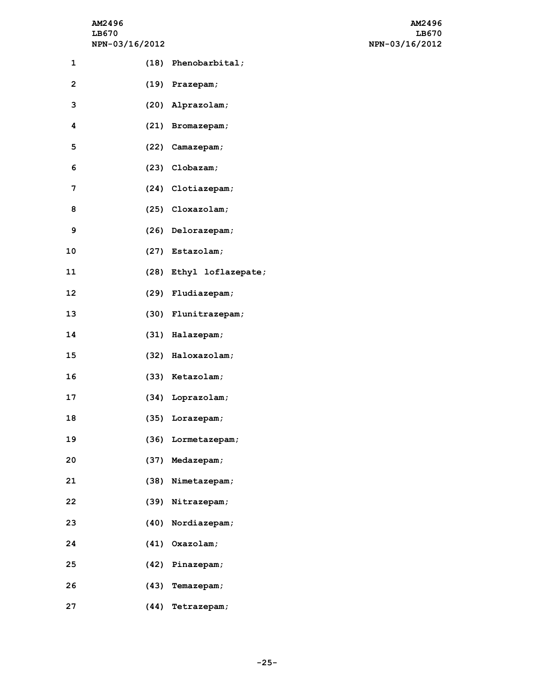# **NPN-03/16/2012 NPN-03/16/2012**

| AM2496                | AM2496         |
|-----------------------|----------------|
| LB670                 | LB670          |
| <b>NPN-03/16/2012</b> | NPN-03/16/2012 |

| 1                       | (18) Phenobarbital;     |
|-------------------------|-------------------------|
| $\overline{\mathbf{c}}$ | (19) Prazepam;          |
| 3                       | (20) Alprazolam;        |
| 4                       | (21) Bromazepam;        |
| 5                       | (22) Camazepam;         |
| 6                       | $(23)$ Clobazam;        |
| 7                       | (24) Clotiazepam;       |
| 8                       | (25) Cloxazolam;        |
| 9                       | (26) Delorazepam;       |
| 10                      | (27) Estazolam;         |
| 11                      | (28) Ethyl loflazepate; |
| 12                      | (29) Fludiazepam;       |
| 13                      | (30) Flunitrazepam;     |
| 14                      | (31) Halazepam;         |
| 15                      | (32) Haloxazolam;       |
| 16                      | (33) Ketazolam;         |
| 17                      | (34) Loprazolam;        |
| 18                      | (35) Lorazepam;         |
| 19                      | (36) Lormetazepam;      |
| 20                      | (37) Medazepam;         |
| 21                      | (38) Nimetazepam;       |
| 22                      | (39) Nitrazepam;        |
| 23                      | (40) Nordiazepam;       |
| 24                      | (41) Oxazolam;          |
| 25                      | (42) Pinazepam;         |
| 26                      | (43) Temazepam;         |
| 27                      | (44) Tetrazepam;        |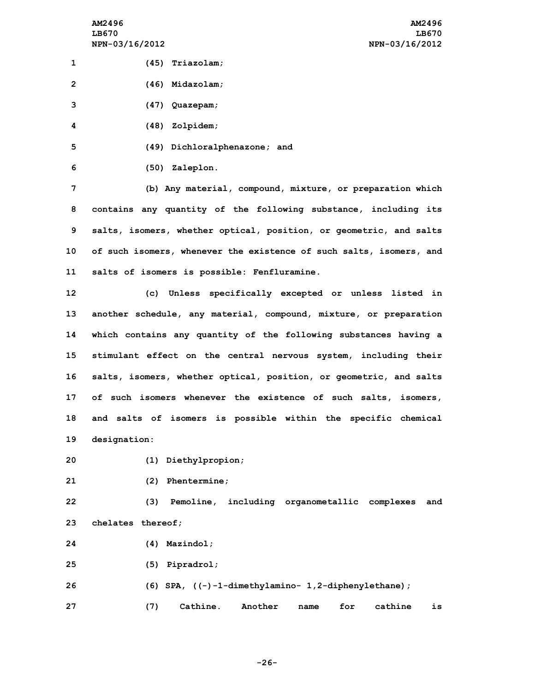**(45) Triazolam; (46) Midazolam; (47) Quazepam; (48) Zolpidem; (49) Dichloralphenazone; and (50) Zaleplon. (b) Any material, compound, mixture, or preparation which contains any quantity of the following substance, including its salts, isomers, whether optical, position, or geometric, and salts of such isomers, whenever the existence of such salts, isomers, and**

**11 salts of isomers is possible: Fenfluramine.**

 **(c) Unless specifically excepted or unless listed in another schedule, any material, compound, mixture, or preparation which contains any quantity of the following substances having <sup>a</sup> stimulant effect on the central nervous system, including their salts, isomers, whether optical, position, or geometric, and salts of such isomers whenever the existence of such salts, isomers, and salts of isomers is possible within the specific chemical designation:**

- **20 (1) Diethylpropion;**
- **21 (2) Phentermine;**

**22 (3) Pemoline, including organometallic complexes and 23 chelates thereof;**

- **24 (4) Mazindol;**
- **25 (5) Pipradrol;**

**26 (6) SPA, ((-)-1-dimethylamino- 1,2-diphenylethane); 27 (7) Cathine. Another name for cathine is**

**-26-**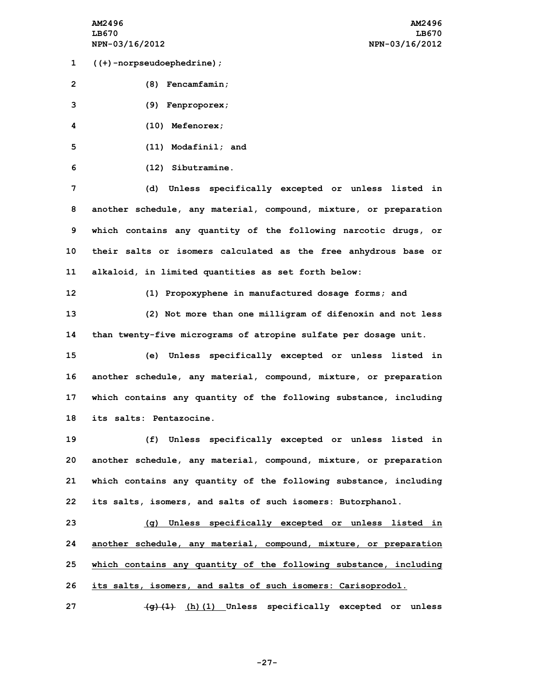**1 ((+)-norpseudoephedrine);**

**2 (8) Fencamfamin;**

**3 (9) Fenproporex;**

**4 (10) Mefenorex;**

**5 (11) Modafinil; and**

**6 (12) Sibutramine.**

 **(d) Unless specifically excepted or unless listed in another schedule, any material, compound, mixture, or preparation which contains any quantity of the following narcotic drugs, or their salts or isomers calculated as the free anhydrous base or alkaloid, in limited quantities as set forth below:**

**12 (1) Propoxyphene in manufactured dosage forms; and 13 (2) Not more than one milligram of difenoxin and not less 14 than twenty-five micrograms of atropine sulfate per dosage unit.**

 **(e) Unless specifically excepted or unless listed in another schedule, any material, compound, mixture, or preparation which contains any quantity of the following substance, including its salts: Pentazocine.**

 **(f) Unless specifically excepted or unless listed in another schedule, any material, compound, mixture, or preparation which contains any quantity of the following substance, including its salts, isomers, and salts of such isomers: Butorphanol.**

 **(g) Unless specifically excepted or unless listed in another schedule, any material, compound, mixture, or preparation which contains any quantity of the following substance, including its salts, isomers, and salts of such isomers: Carisoprodol.**

**27 (g)(1) (h)(1) Unless specifically excepted or unless**

**-27-**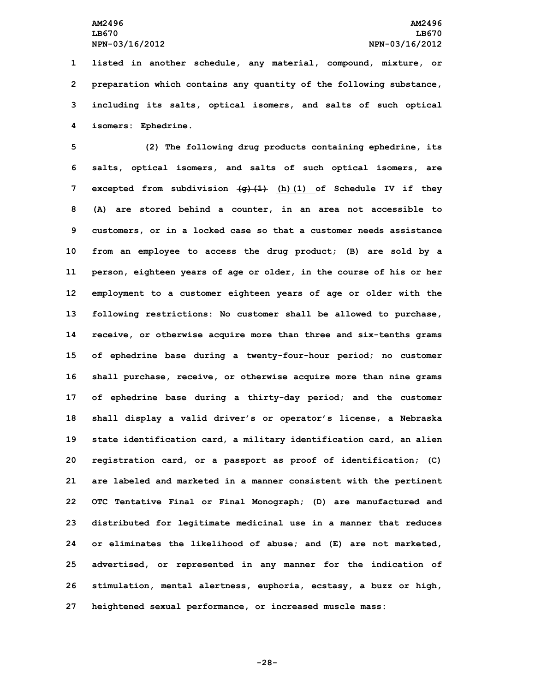**listed in another schedule, any material, compound, mixture, or preparation which contains any quantity of the following substance, including its salts, optical isomers, and salts of such optical isomers: Ephedrine.**

 **(2) The following drug products containing ephedrine, its salts, optical isomers, and salts of such optical isomers, are excepted from subdivision (g)(1) (h)(1) of Schedule IV if they (A) are stored behind <sup>a</sup> counter, in an area not accessible to customers, or in <sup>a</sup> locked case so that <sup>a</sup> customer needs assistance from an employee to access the drug product; (B) are sold by <sup>a</sup> person, eighteen years of age or older, in the course of his or her employment to <sup>a</sup> customer eighteen years of age or older with the following restrictions: No customer shall be allowed to purchase, receive, or otherwise acquire more than three and six-tenths grams of ephedrine base during <sup>a</sup> twenty-four-hour period; no customer shall purchase, receive, or otherwise acquire more than nine grams of ephedrine base during <sup>a</sup> thirty-day period; and the customer shall display <sup>a</sup> valid driver's or operator's license, <sup>a</sup> Nebraska state identification card, <sup>a</sup> military identification card, an alien registration card, or <sup>a</sup> passport as proof of identification; (C) are labeled and marketed in <sup>a</sup> manner consistent with the pertinent OTC Tentative Final or Final Monograph; (D) are manufactured and distributed for legitimate medicinal use in <sup>a</sup> manner that reduces or eliminates the likelihood of abuse; and (E) are not marketed, advertised, or represented in any manner for the indication of stimulation, mental alertness, euphoria, ecstasy, <sup>a</sup> buzz or high, heightened sexual performance, or increased muscle mass:**

**-28-**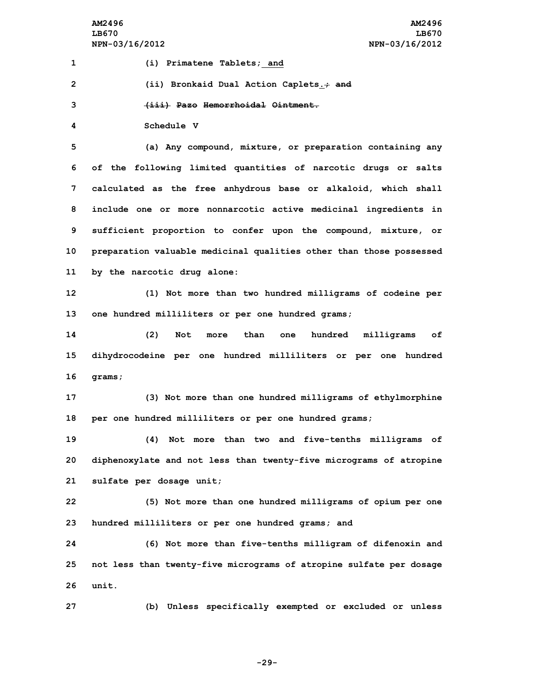**AM2496 AM2496 LB670 LB670 NPN-03/16/2012 NPN-03/16/2012**

 **(i) Primatene Tablets; and (ii) Bronkaid Dual Action Caplets.; and (iii) Pazo Hemorrhoidal Ointment. Schedule V (a) Any compound, mixture, or preparation containing any of the following limited quantities of narcotic drugs or salts calculated as the free anhydrous base or alkaloid, which shall include one or more nonnarcotic active medicinal ingredients in sufficient proportion to confer upon the compound, mixture, or preparation valuable medicinal qualities other than those possessed by the narcotic drug alone: (1) Not more than two hundred milligrams of codeine per one hundred milliliters or per one hundred grams; (2) Not more than one hundred milligrams of dihydrocodeine per one hundred milliliters or per one hundred 16 grams; (3) Not more than one hundred milligrams of ethylmorphine per one hundred milliliters or per one hundred grams; (4) Not more than two and five-tenths milligrams of diphenoxylate and not less than twenty-five micrograms of atropine sulfate per dosage unit; (5) Not more than one hundred milligrams of opium per one hundred milliliters or per one hundred grams; and (6) Not more than five-tenths milligram of difenoxin and not less than twenty-five micrograms of atropine sulfate per dosage 26 unit. (b) Unless specifically exempted or excluded or unless**

**-29-**